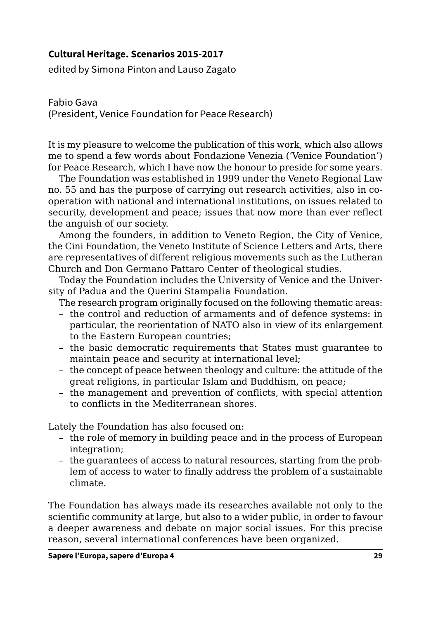## **Cultural Heritage. Scenarios 2015-2017**

edited by Simona Pinton and Lauso Zagato

Fabio Gava (President, Venice Foundation for Peace Research)

It is my pleasure to welcome the publication of this work, which also allows me to spend a few words about Fondazione Venezia ('Venice Foundation') for Peace Research, which I have now the honour to preside for some years.

The Foundation was established in 1999 under the Veneto Regional Law no. 55 and has the purpose of carrying out research activities, also in cooperation with national and international institutions, on issues related to security, development and peace; issues that now more than ever reflect the anguish of our society.

Among the founders, in addition to Veneto Region, the City of Venice, the Cini Foundation, the Veneto Institute of Science Letters and Arts, there are representatives of different religious movements such as the Lutheran Church and Don Germano Pattaro Center of theological studies.

Today the Foundation includes the University of Venice and the University of Padua and the Querini Stampalia Foundation.

The research program originally focused on the following thematic areas:

- the control and reduction of armaments and of defence systems: in particular, the reorientation of NATO also in view of its enlargement to the Eastern European countries;
- the basic democratic requirements that States must guarantee to maintain peace and security at international level;
- the concept of peace between theology and culture: the attitude of the great religions, in particular Islam and Buddhism, on peace;
- the management and prevention of conflicts, with special attention to conflicts in the Mediterranean shores.

Lately the Foundation has also focused on:

- the role of memory in building peace and in the process of European integration:
- the guarantees of access to natural resources, starting from the problem of access to water to finally address the problem of a sustainable climate.

The Foundation has always made its researches available not only to the scientific community at large, but also to a wider public, in order to favour a deeper awareness and debate on major social issues. For this precise reason, several international conferences have been organized.